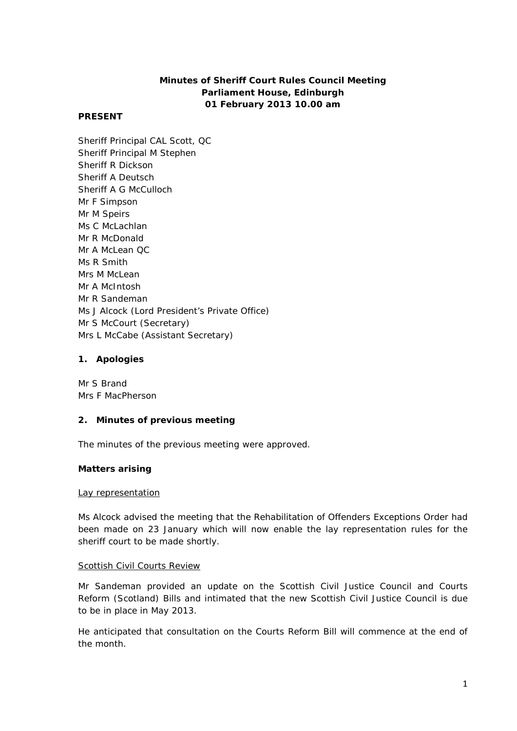# **Minutes of Sheriff Court Rules Council Meeting Parliament House, Edinburgh 01 February 2013 10.00 am**

## **PRESENT**

Sheriff Principal CAL Scott, QC Sheriff Principal M Stephen Sheriff R Dickson Sheriff A Deutsch Sheriff A G McCulloch Mr F Simpson Mr M Speirs Ms C McLachlan Mr R McDonald Mr A McLean QC Ms R Smith Mrs M McLean Mr A McIntosh Mr R Sandeman Ms J Alcock (Lord President's Private Office) Mr S McCourt (Secretary) Mrs L McCabe (Assistant Secretary)

## **1. Apologies**

Mr S Brand Mrs F MacPherson

## **2. Minutes of previous meeting**

The minutes of the previous meeting were approved.

## **Matters arising**

## Lay representation

Ms Alcock advised the meeting that the Rehabilitation of Offenders Exceptions Order had been made on 23 January which will now enable the lay representation rules for the sheriff court to be made shortly.

## Scottish Civil Courts Review

Mr Sandeman provided an update on the Scottish Civil Justice Council and Courts Reform (Scotland) Bills and intimated that the new Scottish Civil Justice Council is due to be in place in May 2013.

He anticipated that consultation on the Courts Reform Bill will commence at the end of the month.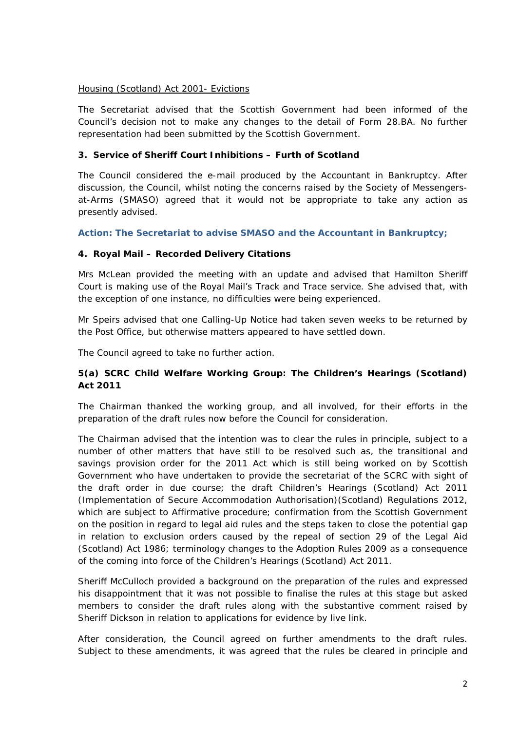## Housing (Scotland) Act 2001- Evictions

The Secretariat advised that the Scottish Government had been informed of the Council's decision not to make any changes to the detail of Form 28.BA. No further representation had been submitted by the Scottish Government.

## **3. Service of Sheriff Court Inhibitions – Furth of Scotland**

The Council considered the e-mail produced by the Accountant in Bankruptcy. After discussion, the Council, whilst noting the concerns raised by the Society of Messengersat-Arms (SMASO) agreed that it would not be appropriate to take any action as presently advised.

## **Action: The Secretariat to advise SMASO and the Accountant in Bankruptcy;**

## **4. Royal Mail – Recorded Delivery Citations**

Mrs McLean provided the meeting with an update and advised that Hamilton Sheriff Court is making use of the Royal Mail's Track and Trace service. She advised that, with the exception of one instance, no difficulties were being experienced.

Mr Speirs advised that one Calling-Up Notice had taken seven weeks to be returned by the Post Office, but otherwise matters appeared to have settled down.

The Council agreed to take no further action.

## **5(a) SCRC Child Welfare Working Group: The Children's Hearings (Scotland) Act 2011**

The Chairman thanked the working group, and all involved, for their efforts in the preparation of the draft rules now before the Council for consideration.

The Chairman advised that the intention was to clear the rules in principle, subject to a number of other matters that have still to be resolved such as, the transitional and savings provision order for the 2011 Act which is still being worked on by Scottish Government who have undertaken to provide the secretariat of the SCRC with sight of the draft order in due course; the draft Children's Hearings (Scotland) Act 2011 (Implementation of Secure Accommodation Authorisation)(Scotland) Regulations 2012, which are subject to Affirmative procedure; confirmation from the Scottish Government on the position in regard to legal aid rules and the steps taken to close the potential gap in relation to exclusion orders caused by the repeal of section 29 of the Legal Aid (Scotland) Act 1986; terminology changes to the Adoption Rules 2009 as a consequence of the coming into force of the Children's Hearings (Scotland) Act 2011.

Sheriff McCulloch provided a background on the preparation of the rules and expressed his disappointment that it was not possible to finalise the rules at this stage but asked members to consider the draft rules along with the substantive comment raised by Sheriff Dickson in relation to applications for evidence by live link.

After consideration, the Council agreed on further amendments to the draft rules. Subject to these amendments, it was agreed that the rules be cleared in principle and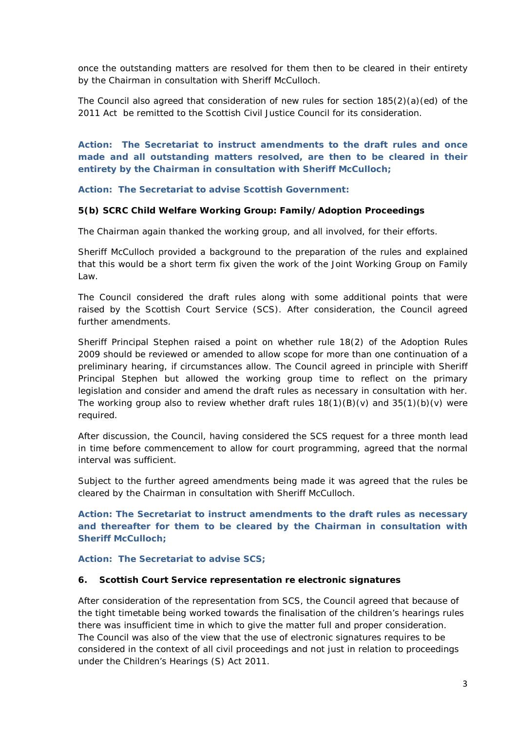once the outstanding matters are resolved for them then to be cleared in their entirety by the Chairman in consultation with Sheriff McCulloch.

The Council also agreed that consideration of new rules for section 185(2)(a)(ed) of the 2011 Act be remitted to the Scottish Civil Justice Council for its consideration.

**Action: The Secretariat to instruct amendments to the draft rules and once made and all outstanding matters resolved, are then to be cleared in their entirety by the Chairman in consultation with Sheriff McCulloch;**

**Action: The Secretariat to advise Scottish Government:**

### **5(b) SCRC Child Welfare Working Group: Family/Adoption Proceedings**

The Chairman again thanked the working group, and all involved, for their efforts.

Sheriff McCulloch provided a background to the preparation of the rules and explained that this would be a short term fix given the work of the Joint Working Group on Family Law.

The Council considered the draft rules along with some additional points that were raised by the Scottish Court Service (SCS). After consideration, the Council agreed further amendments.

Sheriff Principal Stephen raised a point on whether rule 18(2) of the Adoption Rules 2009 should be reviewed or amended to allow scope for more than one continuation of a preliminary hearing, if circumstances allow. The Council agreed in principle with Sheriff Principal Stephen but allowed the working group time to reflect on the primary legislation and consider and amend the draft rules as necessary in consultation with her. The working group also to review whether draft rules  $18(1)(B)(v)$  and  $35(1)(b)(v)$  were required.

After discussion, the Council, having considered the SCS request for a three month lead in time before commencement to allow for court programming, agreed that the normal interval was sufficient.

Subject to the further agreed amendments being made it was agreed that the rules be cleared by the Chairman in consultation with Sheriff McCulloch.

**Action: The Secretariat to instruct amendments to the draft rules as necessary and thereafter for them to be cleared by the Chairman in consultation with Sheriff McCulloch;**

#### **Action: The Secretariat to advise SCS;**

### **6. Scottish Court Service representation re electronic signatures**

After consideration of the representation from SCS, the Council agreed that because of the tight timetable being worked towards the finalisation of the children's hearings rules there was insufficient time in which to give the matter full and proper consideration. The Council was also of the view that the use of electronic signatures requires to be considered in the context of all civil proceedings and not just in relation to proceedings under the Children's Hearings (S) Act 2011.